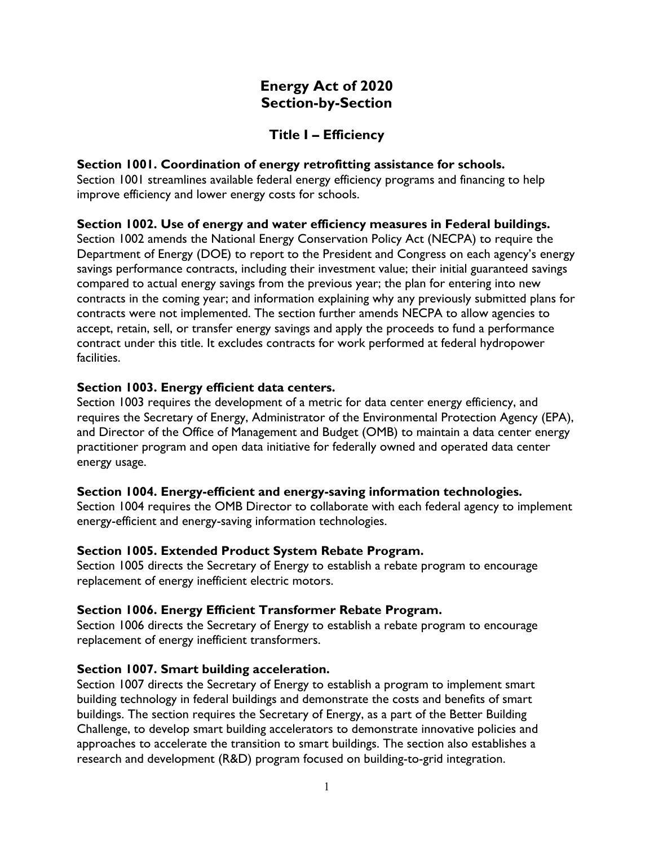# **Energy Act of 2020 Section-by-Section**

# **Title I – Efficiency**

### **Section 1001. Coordination of energy retrofitting assistance for schools.**

Section 1001 streamlines available federal energy efficiency programs and financing to help improve efficiency and lower energy costs for schools.

## **Section 1002. Use of energy and water efficiency measures in Federal buildings.**

Section 1002 amends the National Energy Conservation Policy Act (NECPA) to require the Department of Energy (DOE) to report to the President and Congress on each agency's energy savings performance contracts, including their investment value; their initial guaranteed savings compared to actual energy savings from the previous year; the plan for entering into new contracts in the coming year; and information explaining why any previously submitted plans for contracts were not implemented. The section further amends NECPA to allow agencies to accept, retain, sell, or transfer energy savings and apply the proceeds to fund a performance contract under this title. It excludes contracts for work performed at federal hydropower facilities.

## **Section 1003. Energy efficient data centers.**

Section 1003 requires the development of a metric for data center energy efficiency, and requires the Secretary of Energy, Administrator of the Environmental Protection Agency (EPA), and Director of the Office of Management and Budget (OMB) to maintain a data center energy practitioner program and open data initiative for federally owned and operated data center energy usage.

## **Section 1004. Energy-efficient and energy-saving information technologies.**

Section 1004 requires the OMB Director to collaborate with each federal agency to implement energy-efficient and energy-saving information technologies.

## **Section 1005. Extended Product System Rebate Program.**

Section 1005 directs the Secretary of Energy to establish a rebate program to encourage replacement of energy inefficient electric motors.

## **Section 1006. Energy Efficient Transformer Rebate Program.**

Section 1006 directs the Secretary of Energy to establish a rebate program to encourage replacement of energy inefficient transformers.

#### **Section 1007. Smart building acceleration.**

Section 1007 directs the Secretary of Energy to establish a program to implement smart building technology in federal buildings and demonstrate the costs and benefits of smart buildings. The section requires the Secretary of Energy, as a part of the Better Building Challenge, to develop smart building accelerators to demonstrate innovative policies and approaches to accelerate the transition to smart buildings. The section also establishes a research and development (R&D) program focused on building-to-grid integration.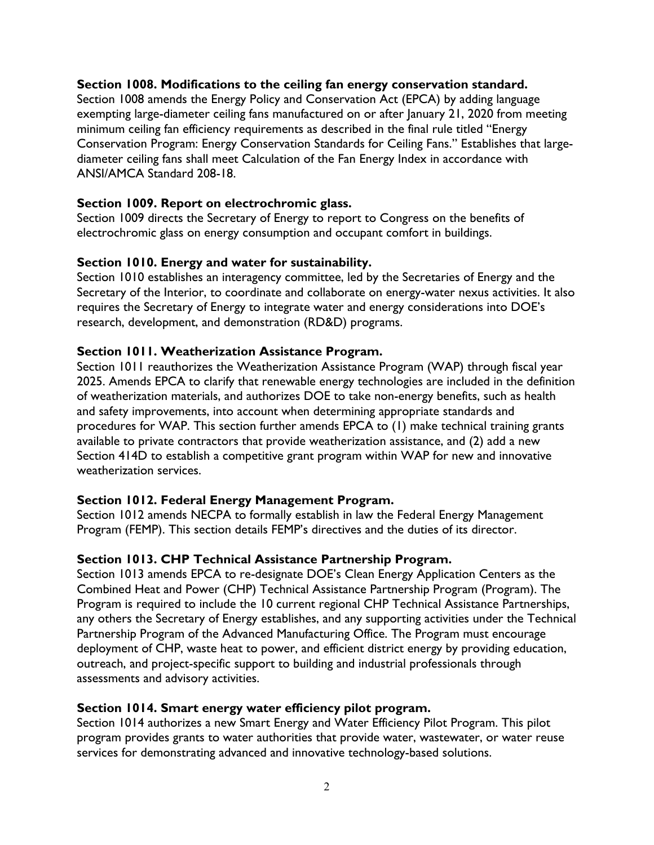### **Section 1008. Modifications to the ceiling fan energy conservation standard.**

Section 1008 amends the Energy Policy and Conservation Act (EPCA) by adding language exempting large-diameter ceiling fans manufactured on or after January 21, 2020 from meeting minimum ceiling fan efficiency requirements as described in the final rule titled "Energy Conservation Program: Energy Conservation Standards for Ceiling Fans." Establishes that largediameter ceiling fans shall meet Calculation of the Fan Energy Index in accordance with ANSI/AMCA Standard 208-18.

### **Section 1009. Report on electrochromic glass.**

Section 1009 directs the Secretary of Energy to report to Congress on the benefits of electrochromic glass on energy consumption and occupant comfort in buildings.

### **Section 1010. Energy and water for sustainability.**

Section 1010 establishes an interagency committee, led by the Secretaries of Energy and the Secretary of the Interior, to coordinate and collaborate on energy-water nexus activities. It also requires the Secretary of Energy to integrate water and energy considerations into DOE's research, development, and demonstration (RD&D) programs.

#### **Section 1011. Weatherization Assistance Program.**

Section 1011 reauthorizes the Weatherization Assistance Program (WAP) through fiscal year 2025. Amends EPCA to clarify that renewable energy technologies are included in the definition of weatherization materials, and authorizes DOE to take non-energy benefits, such as health and safety improvements, into account when determining appropriate standards and procedures for WAP. This section further amends EPCA to (1) make technical training grants available to private contractors that provide weatherization assistance, and (2) add a new Section 414D to establish a competitive grant program within WAP for new and innovative weatherization services.

## **Section 1012. Federal Energy Management Program.**

Section 1012 amends NECPA to formally establish in law the Federal Energy Management Program (FEMP). This section details FEMP's directives and the duties of its director.

## **Section 1013. CHP Technical Assistance Partnership Program.**

Section 1013 amends EPCA to re-designate DOE's Clean Energy Application Centers as the Combined Heat and Power (CHP) Technical Assistance Partnership Program (Program). The Program is required to include the 10 current regional CHP Technical Assistance Partnerships, any others the Secretary of Energy establishes, and any supporting activities under the Technical Partnership Program of the Advanced Manufacturing Office. The Program must encourage deployment of CHP, waste heat to power, and efficient district energy by providing education, outreach, and project-specific support to building and industrial professionals through assessments and advisory activities.

#### **Section 1014. Smart energy water efficiency pilot program.**

Section 1014 authorizes a new Smart Energy and Water Efficiency Pilot Program. This pilot program provides grants to water authorities that provide water, wastewater, or water reuse services for demonstrating advanced and innovative technology-based solutions.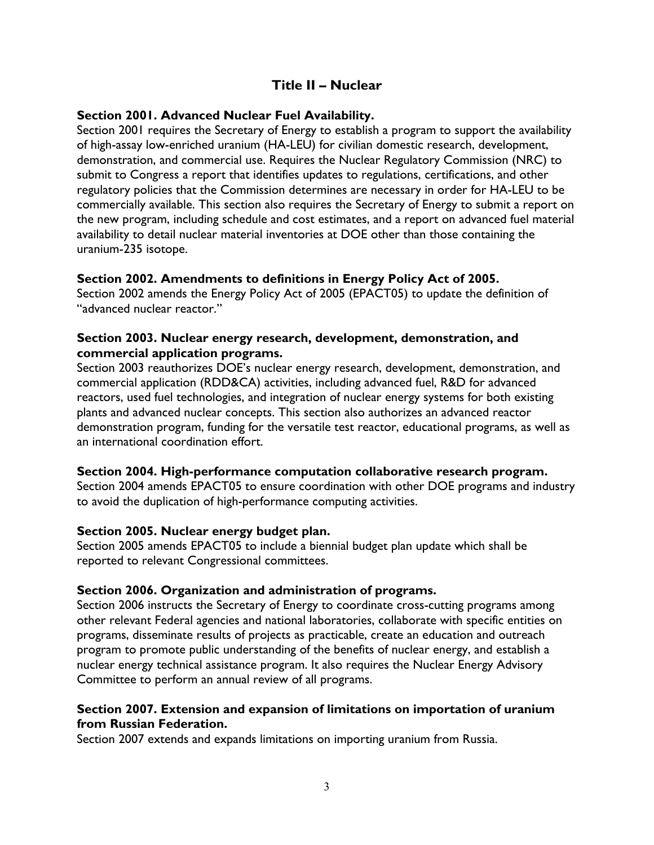# **Title II – Nuclear**

### **Section 2001. Advanced Nuclear Fuel Availability.**

Section 2001 requires the Secretary of Energy to establish a program to support the availability of high-assay low-enriched uranium (HA-LEU) for civilian domestic research, development, demonstration, and commercial use. Requires the Nuclear Regulatory Commission (NRC) to submit to Congress a report that identifies updates to regulations, certifications, and other regulatory policies that the Commission determines are necessary in order for HA-LEU to be commercially available. This section also requires the Secretary of Energy to submit a report on the new program, including schedule and cost estimates, and a report on advanced fuel material availability to detail nuclear material inventories at DOE other than those containing the uranium-235 isotope.

#### **Section 2002. Amendments to definitions in Energy Policy Act of 2005.**

Section 2002 amends the Energy Policy Act of 2005 (EPACT05) to update the definition of "advanced nuclear reactor."

### **Section 2003. Nuclear energy research, development, demonstration, and commercial application programs.**

Section 2003 reauthorizes DOE's nuclear energy research, development, demonstration, and commercial application (RDD&CA) activities, including advanced fuel, R&D for advanced reactors, used fuel technologies, and integration of nuclear energy systems for both existing plants and advanced nuclear concepts. This section also authorizes an advanced reactor demonstration program, funding for the versatile test reactor, educational programs, as well as an international coordination effort.

#### **Section 2004. High-performance computation collaborative research program.**

Section 2004 amends EPACT05 to ensure coordination with other DOE programs and industry to avoid the duplication of high-performance computing activities.

#### **Section 2005. Nuclear energy budget plan.**

Section 2005 amends EPACT05 to include a biennial budget plan update which shall be reported to relevant Congressional committees.

## **Section 2006. Organization and administration of programs.**

Section 2006 instructs the Secretary of Energy to coordinate cross-cutting programs among other relevant Federal agencies and national laboratories, collaborate with specific entities on programs, disseminate results of projects as practicable, create an education and outreach program to promote public understanding of the benefits of nuclear energy, and establish a nuclear energy technical assistance program. It also requires the Nuclear Energy Advisory Committee to perform an annual review of all programs.

## **Section 2007. Extension and expansion of limitations on importation of uranium from Russian Federation.**

Section 2007 extends and expands limitations on importing uranium from Russia.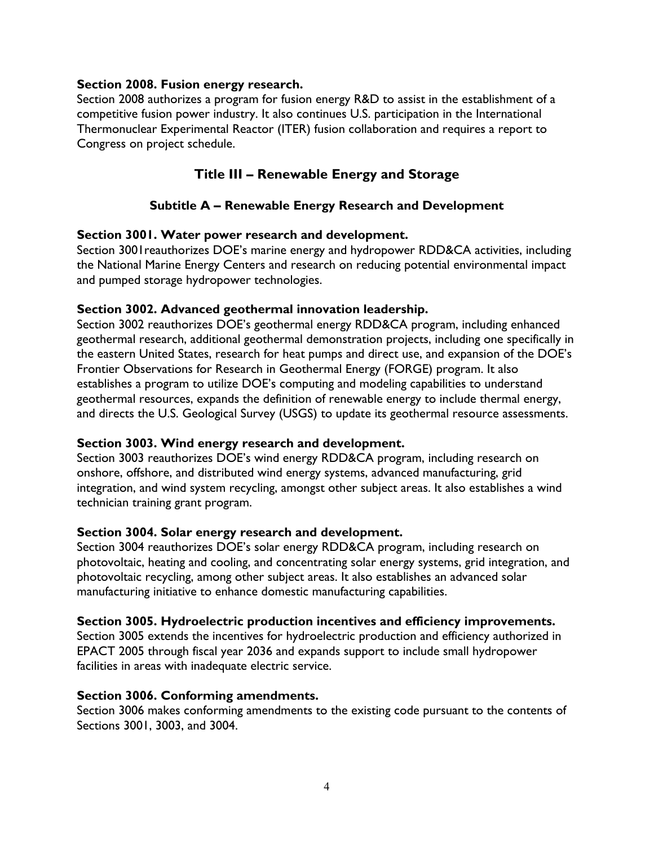### **Section 2008. Fusion energy research.**

Section 2008 authorizes a program for fusion energy R&D to assist in the establishment of a competitive fusion power industry. It also continues U.S. participation in the International Thermonuclear Experimental Reactor (ITER) fusion collaboration and requires a report to Congress on project schedule.

# **Title III – Renewable Energy and Storage**

## **Subtitle A – Renewable Energy Research and Development**

### **Section 3001. Water power research and development.**

Section 3001 reauthorizes DOE's marine energy and hydropower RDD&CA activities, including the National Marine Energy Centers and research on reducing potential environmental impact and pumped storage hydropower technologies.

### **Section 3002. Advanced geothermal innovation leadership.**

Section 3002 reauthorizes DOE's geothermal energy RDD&CA program, including enhanced geothermal research, additional geothermal demonstration projects, including one specifically in the eastern United States, research for heat pumps and direct use, and expansion of the DOE's Frontier Observations for Research in Geothermal Energy (FORGE) program. It also establishes a program to utilize DOE's computing and modeling capabilities to understand geothermal resources, expands the definition of renewable energy to include thermal energy, and directs the U.S. Geological Survey (USGS) to update its geothermal resource assessments.

## **Section 3003. Wind energy research and development.**

Section 3003 reauthorizes DOE's wind energy RDD&CA program, including research on onshore, offshore, and distributed wind energy systems, advanced manufacturing, grid integration, and wind system recycling, amongst other subject areas. It also establishes a wind technician training grant program.

#### **Section 3004. Solar energy research and development.**

Section 3004 reauthorizes DOE's solar energy RDD&CA program, including research on photovoltaic, heating and cooling, and concentrating solar energy systems, grid integration, and photovoltaic recycling, among other subject areas. It also establishes an advanced solar manufacturing initiative to enhance domestic manufacturing capabilities.

#### **Section 3005. Hydroelectric production incentives and efficiency improvements.**

Section 3005 extends the incentives for hydroelectric production and efficiency authorized in EPACT 2005 through fiscal year 2036 and expands support to include small hydropower facilities in areas with inadequate electric service.

#### **Section 3006. Conforming amendments.**

Section 3006 makes conforming amendments to the existing code pursuant to the contents of Sections 3001, 3003, and 3004.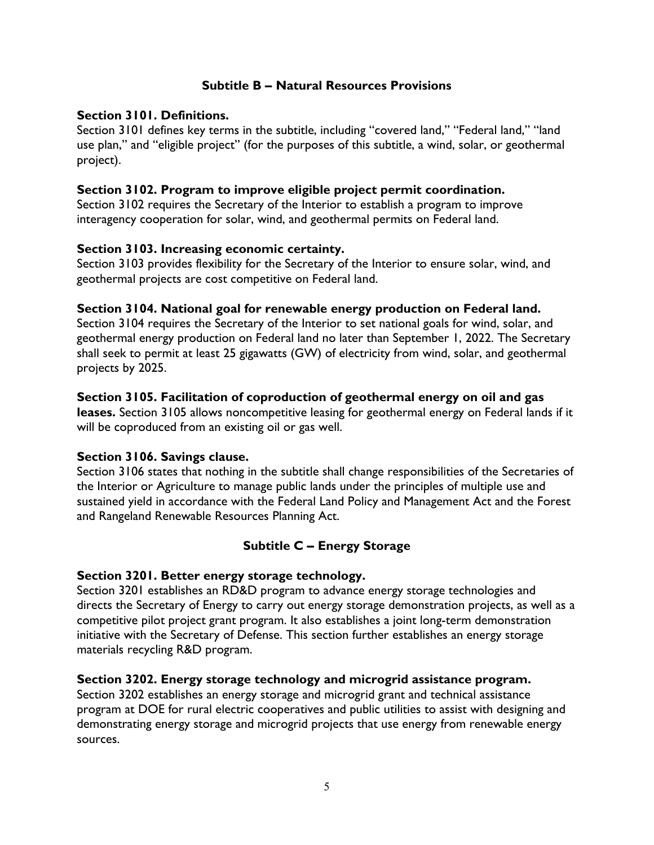## **Subtitle B – Natural Resources Provisions**

## **Section 3101. Definitions.**

Section 3101 defines key terms in the subtitle, including "covered land," "Federal land," "land use plan," and "eligible project" (for the purposes of this subtitle, a wind, solar, or geothermal project).

## **Section 3102. Program to improve eligible project permit coordination.**

Section 3102 requires the Secretary of the Interior to establish a program to improve interagency cooperation for solar, wind, and geothermal permits on Federal land.

## **Section 3103. Increasing economic certainty.**

Section 3103 provides flexibility for the Secretary of the Interior to ensure solar, wind, and geothermal projects are cost competitive on Federal land.

## **Section 3104. National goal for renewable energy production on Federal land.**

Section 3104 requires the Secretary of the Interior to set national goals for wind, solar, and geothermal energy production on Federal land no later than September 1, 2022. The Secretary shall seek to permit at least 25 gigawatts (GW) of electricity from wind, solar, and geothermal projects by 2025.

## **Section 3105. Facilitation of coproduction of geothermal energy on oil and gas**

**leases.** Section 3105 allows noncompetitive leasing for geothermal energy on Federal lands if it will be coproduced from an existing oil or gas well.

## **Section 3106. Savings clause.**

Section 3106 states that nothing in the subtitle shall change responsibilities of the Secretaries of the Interior or Agriculture to manage public lands under the principles of multiple use and sustained yield in accordance with the Federal Land Policy and Management Act and the Forest and Rangeland Renewable Resources Planning Act.

# **Subtitle C – Energy Storage**

## **Section 3201. Better energy storage technology.**

Section 3201 establishes an RD&D program to advance energy storage technologies and directs the Secretary of Energy to carry out energy storage demonstration projects, as well as a competitive pilot project grant program. It also establishes a joint long-term demonstration initiative with the Secretary of Defense. This section further establishes an energy storage materials recycling R&D program.

## **Section 3202. Energy storage technology and microgrid assistance program.**

Section 3202 establishes an energy storage and microgrid grant and technical assistance program at DOE for rural electric cooperatives and public utilities to assist with designing and demonstrating energy storage and microgrid projects that use energy from renewable energy sources.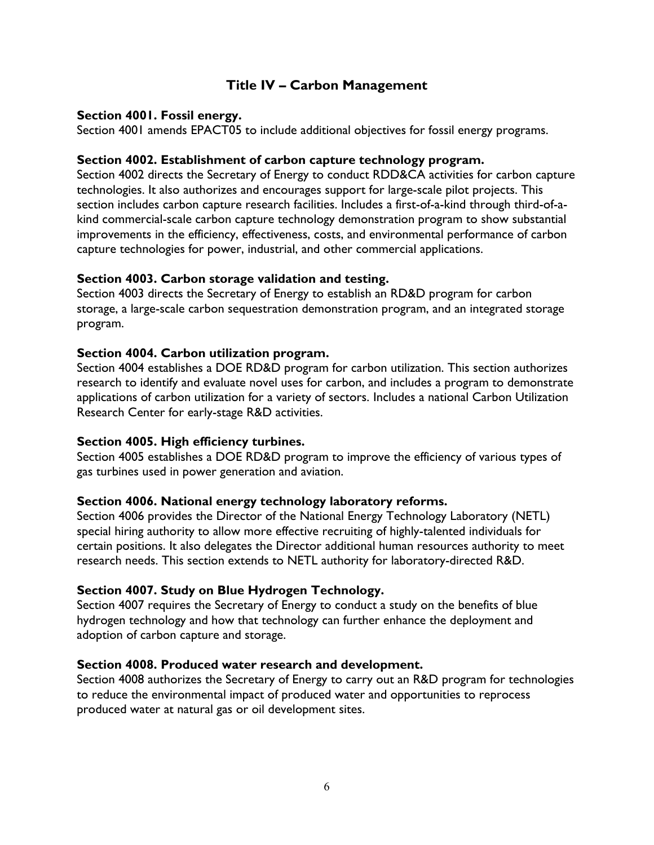# **Title IV – Carbon Management**

### **Section 4001. Fossil energy.**

Section 4001 amends EPACT05 to include additional objectives for fossil energy programs.

### **Section 4002. Establishment of carbon capture technology program.**

Section 4002 directs the Secretary of Energy to conduct RDD&CA activities for carbon capture technologies. It also authorizes and encourages support for large-scale pilot projects. This section includes carbon capture research facilities. Includes a first-of-a-kind through third-of-akind commercial-scale carbon capture technology demonstration program to show substantial improvements in the efficiency, effectiveness, costs, and environmental performance of carbon capture technologies for power, industrial, and other commercial applications.

### **Section 4003. Carbon storage validation and testing.**

Section 4003 directs the Secretary of Energy to establish an RD&D program for carbon storage, a large-scale carbon sequestration demonstration program, and an integrated storage program.

### **Section 4004. Carbon utilization program.**

Section 4004 establishes a DOE RD&D program for carbon utilization. This section authorizes research to identify and evaluate novel uses for carbon, and includes a program to demonstrate applications of carbon utilization for a variety of sectors. Includes a national Carbon Utilization Research Center for early-stage R&D activities.

## **Section 4005. High efficiency turbines.**

Section 4005 establishes a DOE RD&D program to improve the efficiency of various types of gas turbines used in power generation and aviation.

## **Section 4006. National energy technology laboratory reforms.**

Section 4006 provides the Director of the National Energy Technology Laboratory (NETL) special hiring authority to allow more effective recruiting of highly-talented individuals for certain positions. It also delegates the Director additional human resources authority to meet research needs. This section extends to NETL authority for laboratory-directed R&D.

## **Section 4007. Study on Blue Hydrogen Technology.**

Section 4007 requires the Secretary of Energy to conduct a study on the benefits of blue hydrogen technology and how that technology can further enhance the deployment and adoption of carbon capture and storage.

#### **Section 4008. Produced water research and development.**

Section 4008 authorizes the Secretary of Energy to carry out an R&D program for technologies to reduce the environmental impact of produced water and opportunities to reprocess produced water at natural gas or oil development sites.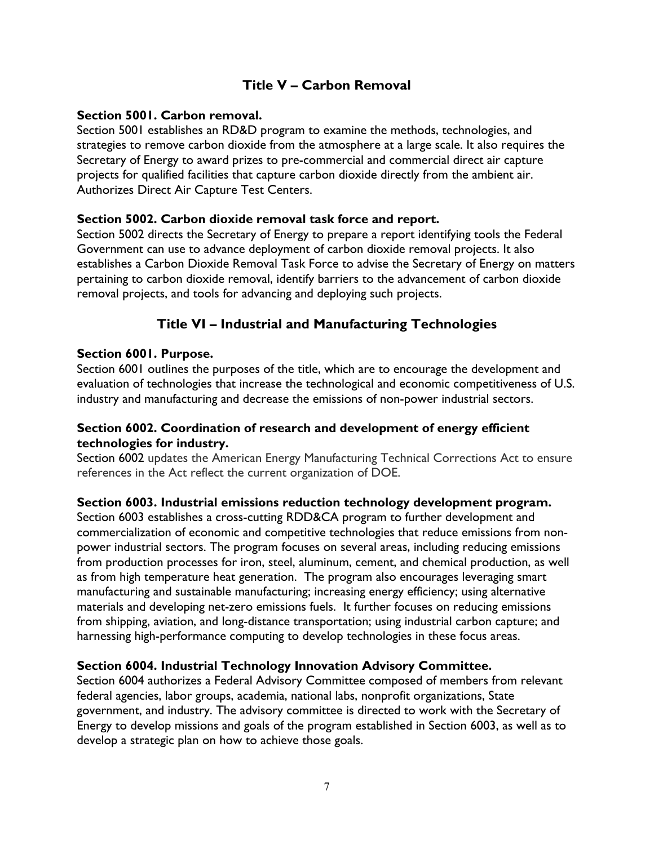# **Title V – Carbon Removal**

### **Section 5001. Carbon removal.**

Section 5001 establishes an RD&D program to examine the methods, technologies, and strategies to remove carbon dioxide from the atmosphere at a large scale. It also requires the Secretary of Energy to award prizes to pre-commercial and commercial direct air capture projects for qualified facilities that capture carbon dioxide directly from the ambient air. Authorizes Direct Air Capture Test Centers.

### **Section 5002. Carbon dioxide removal task force and report.**

Section 5002 directs the Secretary of Energy to prepare a report identifying tools the Federal Government can use to advance deployment of carbon dioxide removal projects. It also establishes a Carbon Dioxide Removal Task Force to advise the Secretary of Energy on matters pertaining to carbon dioxide removal, identify barriers to the advancement of carbon dioxide removal projects, and tools for advancing and deploying such projects.

# **Title VI – Industrial and Manufacturing Technologies**

### **Section 6001. Purpose.**

Section 6001 outlines the purposes of the title, which are to encourage the development and evaluation of technologies that increase the technological and economic competitiveness of U.S. industry and manufacturing and decrease the emissions of non-power industrial sectors.

## **Section 6002. Coordination of research and development of energy efficient technologies for industry.**

Section 6002 updates the American Energy Manufacturing Technical Corrections Act to ensure references in the Act reflect the current organization of DOE.

#### **Section 6003. Industrial emissions reduction technology development program.**

Section 6003 establishes a cross-cutting RDD&CA program to further development and commercialization of economic and competitive technologies that reduce emissions from nonpower industrial sectors. The program focuses on several areas, including reducing emissions from production processes for iron, steel, aluminum, cement, and chemical production, as well as from high temperature heat generation. The program also encourages leveraging smart manufacturing and sustainable manufacturing; increasing energy efficiency; using alternative materials and developing net-zero emissions fuels. It further focuses on reducing emissions from shipping, aviation, and long-distance transportation; using industrial carbon capture; and harnessing high-performance computing to develop technologies in these focus areas.

## **Section 6004. Industrial Technology Innovation Advisory Committee.**

Section 6004 authorizes a Federal Advisory Committee composed of members from relevant federal agencies, labor groups, academia, national labs, nonprofit organizations, State government, and industry. The advisory committee is directed to work with the Secretary of Energy to develop missions and goals of the program established in Section 6003, as well as to develop a strategic plan on how to achieve those goals.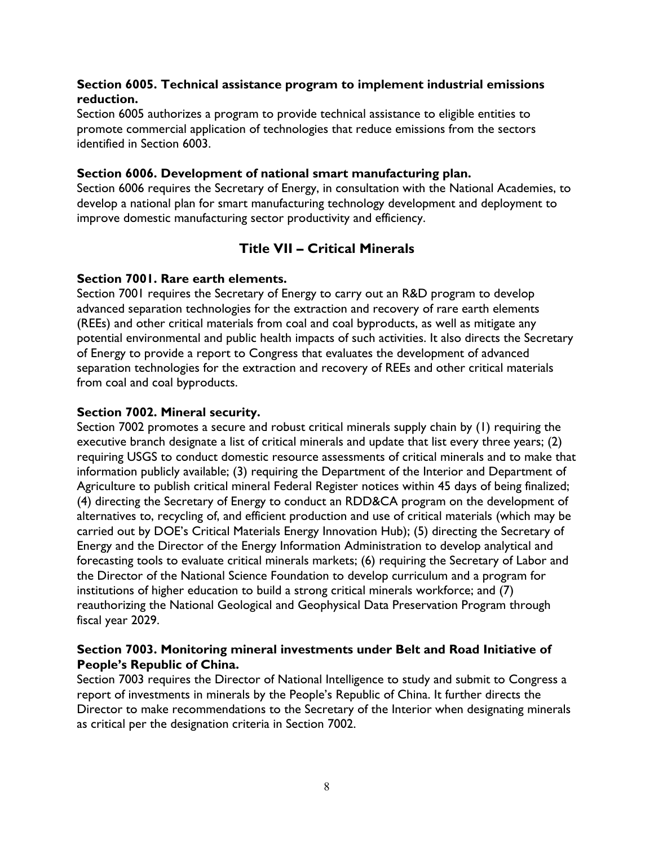## **Section 6005. Technical assistance program to implement industrial emissions reduction.**

Section 6005 authorizes a program to provide technical assistance to eligible entities to promote commercial application of technologies that reduce emissions from the sectors identified in Section 6003.

### **Section 6006. Development of national smart manufacturing plan.**

Section 6006 requires the Secretary of Energy, in consultation with the National Academies, to develop a national plan for smart manufacturing technology development and deployment to improve domestic manufacturing sector productivity and efficiency.

# **Title VII – Critical Minerals**

### **Section 7001. Rare earth elements.**

Section 7001 requires the Secretary of Energy to carry out an R&D program to develop advanced separation technologies for the extraction and recovery of rare earth elements (REEs) and other critical materials from coal and coal byproducts, as well as mitigate any potential environmental and public health impacts of such activities. It also directs the Secretary of Energy to provide a report to Congress that evaluates the development of advanced separation technologies for the extraction and recovery of REEs and other critical materials from coal and coal byproducts.

### **Section 7002. Mineral security.**

Section 7002 promotes a secure and robust critical minerals supply chain by (1) requiring the executive branch designate a list of critical minerals and update that list every three years; (2) requiring USGS to conduct domestic resource assessments of critical minerals and to make that information publicly available; (3) requiring the Department of the Interior and Department of Agriculture to publish critical mineral Federal Register notices within 45 days of being finalized; (4) directing the Secretary of Energy to conduct an RDD&CA program on the development of alternatives to, recycling of, and efficient production and use of critical materials (which may be carried out by DOE's Critical Materials Energy Innovation Hub); (5) directing the Secretary of Energy and the Director of the Energy Information Administration to develop analytical and forecasting tools to evaluate critical minerals markets; (6) requiring the Secretary of Labor and the Director of the National Science Foundation to develop curriculum and a program for institutions of higher education to build a strong critical minerals workforce; and (7) reauthorizing the National Geological and Geophysical Data Preservation Program through fiscal year 2029.

## **Section 7003. Monitoring mineral investments under Belt and Road Initiative of People's Republic of China.**

Section 7003 requires the Director of National Intelligence to study and submit to Congress a report of investments in minerals by the People's Republic of China. It further directs the Director to make recommendations to the Secretary of the Interior when designating minerals as critical per the designation criteria in Section 7002.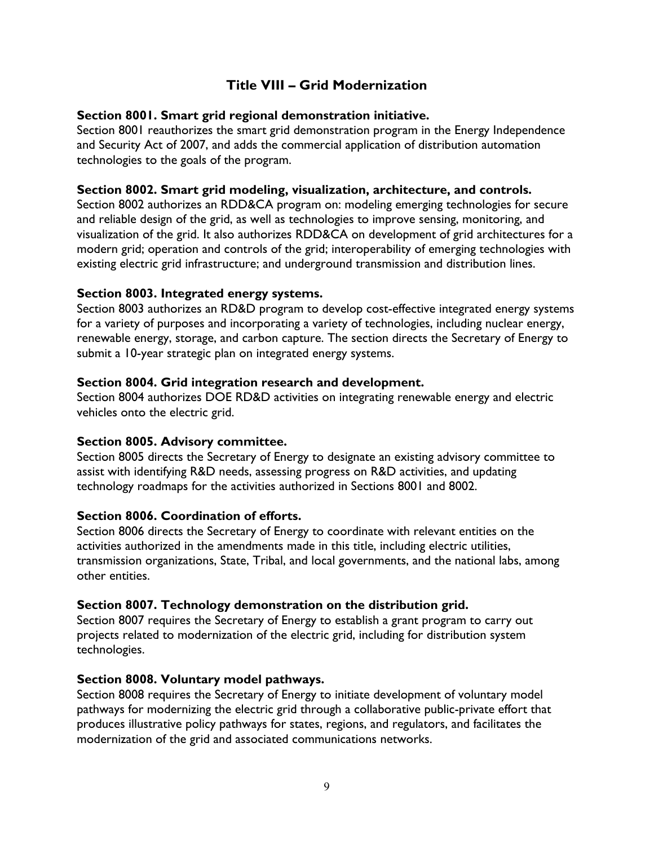# **Title VIII – Grid Modernization**

## **Section 8001. Smart grid regional demonstration initiative.**

Section 8001 reauthorizes the smart grid demonstration program in the Energy Independence and Security Act of 2007, and adds the commercial application of distribution automation technologies to the goals of the program.

## **Section 8002. Smart grid modeling, visualization, architecture, and controls.**

Section 8002 authorizes an RDD&CA program on: modeling emerging technologies for secure and reliable design of the grid, as well as technologies to improve sensing, monitoring, and visualization of the grid. It also authorizes RDD&CA on development of grid architectures for a modern grid; operation and controls of the grid; interoperability of emerging technologies with existing electric grid infrastructure; and underground transmission and distribution lines.

## **Section 8003. Integrated energy systems.**

Section 8003 authorizes an RD&D program to develop cost-effective integrated energy systems for a variety of purposes and incorporating a variety of technologies, including nuclear energy, renewable energy, storage, and carbon capture. The section directs the Secretary of Energy to submit a 10-year strategic plan on integrated energy systems.

## **Section 8004. Grid integration research and development.**

Section 8004 authorizes DOE RD&D activities on integrating renewable energy and electric vehicles onto the electric grid.

## **Section 8005. Advisory committee.**

Section 8005 directs the Secretary of Energy to designate an existing advisory committee to assist with identifying R&D needs, assessing progress on R&D activities, and updating technology roadmaps for the activities authorized in Sections 8001 and 8002.

## **Section 8006. Coordination of efforts.**

Section 8006 directs the Secretary of Energy to coordinate with relevant entities on the activities authorized in the amendments made in this title, including electric utilities, transmission organizations, State, Tribal, and local governments, and the national labs, among other entities.

# **Section 8007. Technology demonstration on the distribution grid.**

Section 8007 requires the Secretary of Energy to establish a grant program to carry out projects related to modernization of the electric grid, including for distribution system technologies.

## **Section 8008. Voluntary model pathways.**

Section 8008 requires the Secretary of Energy to initiate development of voluntary model pathways for modernizing the electric grid through a collaborative public-private effort that produces illustrative policy pathways for states, regions, and regulators, and facilitates the modernization of the grid and associated communications networks.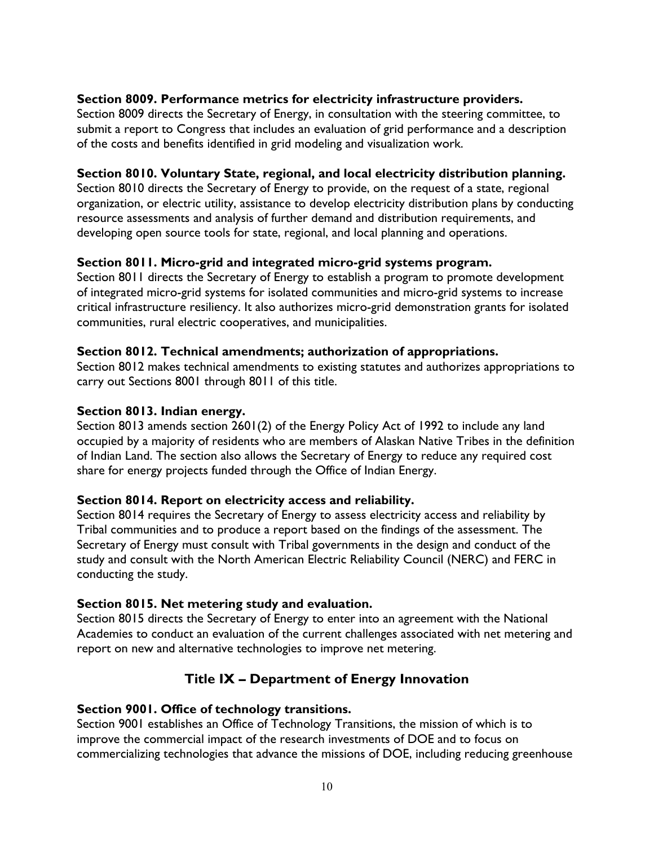## **Section 8009. Performance metrics for electricity infrastructure providers.**

Section 8009 directs the Secretary of Energy, in consultation with the steering committee, to submit a report to Congress that includes an evaluation of grid performance and a description of the costs and benefits identified in grid modeling and visualization work.

### **Section 8010. Voluntary State, regional, and local electricity distribution planning.**

Section 8010 directs the Secretary of Energy to provide, on the request of a state, regional organization, or electric utility, assistance to develop electricity distribution plans by conducting resource assessments and analysis of further demand and distribution requirements, and developing open source tools for state, regional, and local planning and operations.

## **Section 8011. Micro-grid and integrated micro-grid systems program.**

Section 8011 directs the Secretary of Energy to establish a program to promote development of integrated micro-grid systems for isolated communities and micro-grid systems to increase critical infrastructure resiliency. It also authorizes micro-grid demonstration grants for isolated communities, rural electric cooperatives, and municipalities.

### **Section 8012. Technical amendments; authorization of appropriations.**

Section 8012 makes technical amendments to existing statutes and authorizes appropriations to carry out Sections 8001 through 8011 of this title.

### **Section 8013. Indian energy.**

Section 8013 amends section 2601(2) of the Energy Policy Act of 1992 to include any land occupied by a majority of residents who are members of Alaskan Native Tribes in the definition of Indian Land. The section also allows the Secretary of Energy to reduce any required cost share for energy projects funded through the Office of Indian Energy.

## **Section 8014. Report on electricity access and reliability.**

Section 8014 requires the Secretary of Energy to assess electricity access and reliability by Tribal communities and to produce a report based on the findings of the assessment. The Secretary of Energy must consult with Tribal governments in the design and conduct of the study and consult with the North American Electric Reliability Council (NERC) and FERC in conducting the study.

## **Section 8015. Net metering study and evaluation.**

Section 8015 directs the Secretary of Energy to enter into an agreement with the National Academies to conduct an evaluation of the current challenges associated with net metering and report on new and alternative technologies to improve net metering.

# **Title IX – Department of Energy Innovation**

## **Section 9001. Office of technology transitions.**

Section 9001 establishes an Office of Technology Transitions, the mission of which is to improve the commercial impact of the research investments of DOE and to focus on commercializing technologies that advance the missions of DOE, including reducing greenhouse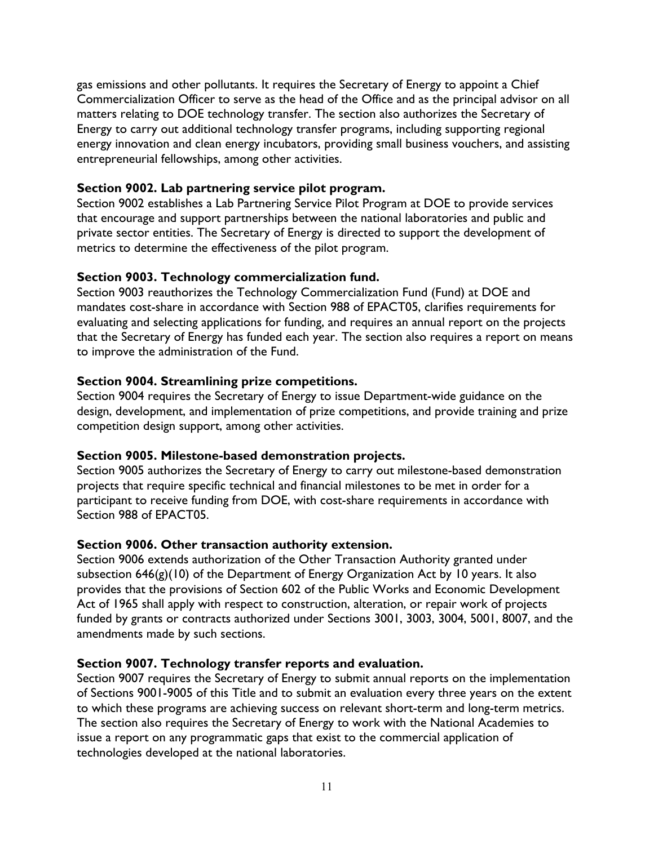gas emissions and other pollutants. It requires the Secretary of Energy to appoint a Chief Commercialization Officer to serve as the head of the Office and as the principal advisor on all matters relating to DOE technology transfer. The section also authorizes the Secretary of Energy to carry out additional technology transfer programs, including supporting regional energy innovation and clean energy incubators, providing small business vouchers, and assisting entrepreneurial fellowships, among other activities.

### **Section 9002. Lab partnering service pilot program.**

Section 9002 establishes a Lab Partnering Service Pilot Program at DOE to provide services that encourage and support partnerships between the national laboratories and public and private sector entities. The Secretary of Energy is directed to support the development of metrics to determine the effectiveness of the pilot program.

## **Section 9003. Technology commercialization fund.**

Section 9003 reauthorizes the Technology Commercialization Fund (Fund) at DOE and mandates cost-share in accordance with Section 988 of EPACT05, clarifies requirements for evaluating and selecting applications for funding, and requires an annual report on the projects that the Secretary of Energy has funded each year. The section also requires a report on means to improve the administration of the Fund.

## **Section 9004. Streamlining prize competitions.**

Section 9004 requires the Secretary of Energy to issue Department-wide guidance on the design, development, and implementation of prize competitions, and provide training and prize competition design support, among other activities.

#### **Section 9005. Milestone-based demonstration projects.**

Section 9005 authorizes the Secretary of Energy to carry out milestone-based demonstration projects that require specific technical and financial milestones to be met in order for a participant to receive funding from DOE, with cost-share requirements in accordance with Section 988 of EPACT05.

## **Section 9006. Other transaction authority extension.**

Section 9006 extends authorization of the Other Transaction Authority granted under subsection 646(g)(10) of the Department of Energy Organization Act by 10 years. It also provides that the provisions of Section 602 of the Public Works and Economic Development Act of 1965 shall apply with respect to construction, alteration, or repair work of projects funded by grants or contracts authorized under Sections 3001, 3003, 3004, 5001, 8007, and the amendments made by such sections.

## **Section 9007. Technology transfer reports and evaluation.**

Section 9007 requires the Secretary of Energy to submit annual reports on the implementation of Sections 9001-9005 of this Title and to submit an evaluation every three years on the extent to which these programs are achieving success on relevant short-term and long-term metrics. The section also requires the Secretary of Energy to work with the National Academies to issue a report on any programmatic gaps that exist to the commercial application of technologies developed at the national laboratories.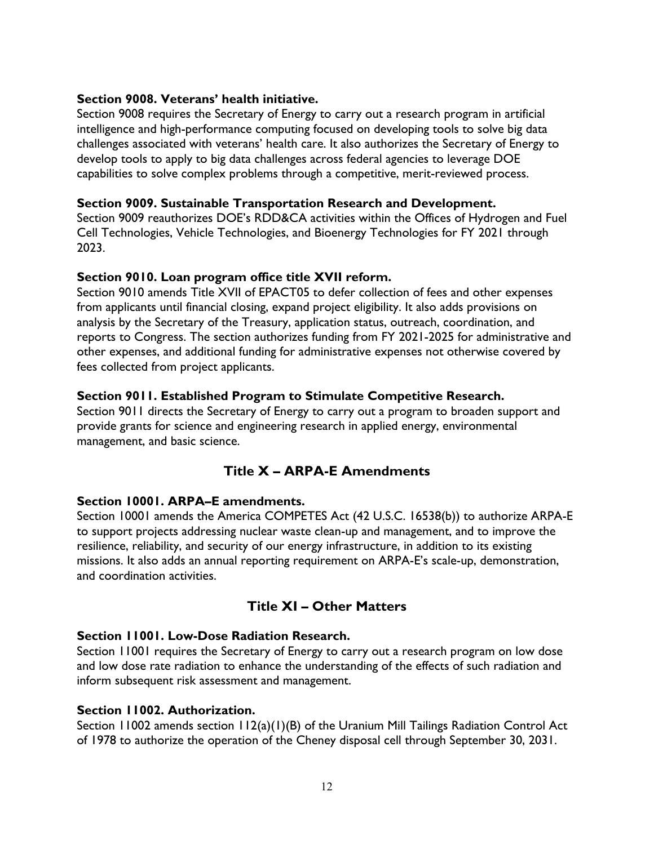### **Section 9008. Veterans' health initiative.**

Section 9008 requires the Secretary of Energy to carry out a research program in artificial intelligence and high-performance computing focused on developing tools to solve big data challenges associated with veterans' health care. It also authorizes the Secretary of Energy to develop tools to apply to big data challenges across federal agencies to leverage DOE capabilities to solve complex problems through a competitive, merit-reviewed process.

#### **Section 9009. Sustainable Transportation Research and Development.**

Section 9009 reauthorizes DOE's RDD&CA activities within the Offices of Hydrogen and Fuel Cell Technologies, Vehicle Technologies, and Bioenergy Technologies for FY 2021 through 2023.

### **Section 9010. Loan program office title XVII reform.**

Section 9010 amends Title XVII of EPACT05 to defer collection of fees and other expenses from applicants until financial closing, expand project eligibility. It also adds provisions on analysis by the Secretary of the Treasury, application status, outreach, coordination, and reports to Congress. The section authorizes funding from FY 2021-2025 for administrative and other expenses, and additional funding for administrative expenses not otherwise covered by fees collected from project applicants.

## **Section 9011. Established Program to Stimulate Competitive Research.**

Section 9011 directs the Secretary of Energy to carry out a program to broaden support and provide grants for science and engineering research in applied energy, environmental management, and basic science.

# **Title X – ARPA-E Amendments**

## **Section 10001. ARPA–E amendments.**

Section 10001 amends the America COMPETES Act (42 U.S.C. 16538(b)) to authorize ARPA-E to support projects addressing nuclear waste clean-up and management, and to improve the resilience, reliability, and security of our energy infrastructure, in addition to its existing missions. It also adds an annual reporting requirement on ARPA-E's scale-up, demonstration, and coordination activities.

# **Title XI – Other Matters**

## **Section 11001. Low-Dose Radiation Research.**

Section 11001 requires the Secretary of Energy to carry out a research program on low dose and low dose rate radiation to enhance the understanding of the effects of such radiation and inform subsequent risk assessment and management.

## **Section 11002. Authorization.**

Section 11002 amends section 112(a)(1)(B) of the Uranium Mill Tailings Radiation Control Act of 1978 to authorize the operation of the Cheney disposal cell through September 30, 2031.